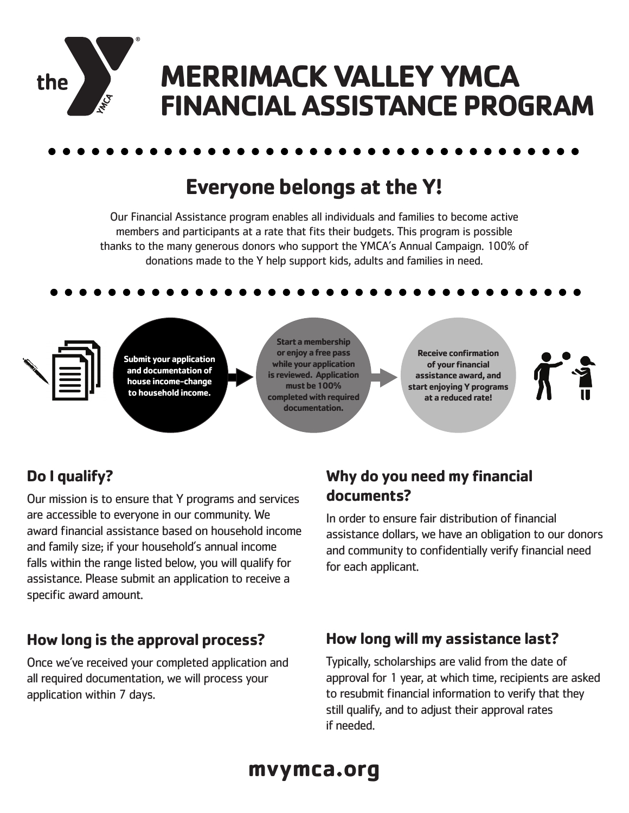

# **Everyone belongs at the Y!**

Our Financial Assistance program enables all individuals and families to become active members and participants at a rate that fits their budgets. This program is possible thanks to the many generous donors who support the YMCA's Annual Campaign. 100% of donations made to the Y help support kids, adults and families in need.



**Submit your application and documentation of house income-change to household income.**

**Start a membership or enjoy a free pass while your application is reviewed. Application must be 100% completed with required documentation.**

**Receive confirmation of your financial assistance award, and start enjoying Y programs at a reduced rate!**



# **Do I qualify?**

Our mission is to ensure that Y programs and services are accessible to everyone in our community. We award financial assistance based on household income and family size; if your household's annual income falls within the range listed below, you will qualify for assistance. Please submit an application to receive a specific award amount.

### **How long is the approval process?**

Once we've received your completed application and all required documentation, we will process your application within 7 days.

## **Why do you need my financial documents?**

In order to ensure fair distribution of financial assistance dollars, we have an obligation to our donors and community to confidentially verify financial need for each applicant.

## **How long will my assistance last?**

Typically, scholarships are valid from the date of approval for 1 year, at which time, recipients are asked to resubmit financial information to verify that they still qualify, and to adjust their approval rates if needed.

# **mvymca.org**